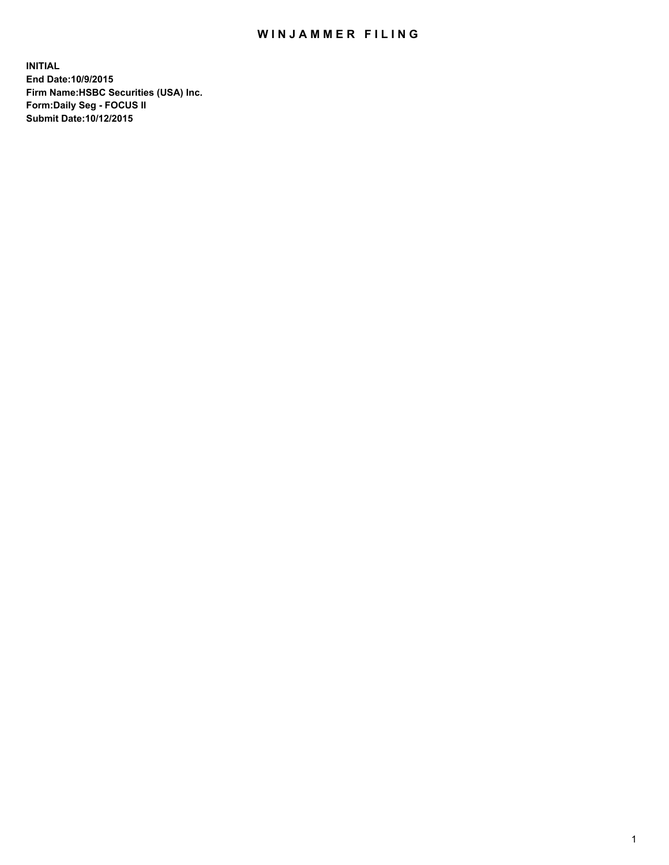## WIN JAMMER FILING

**INITIAL End Date:10/9/2015 Firm Name:HSBC Securities (USA) Inc. Form:Daily Seg - FOCUS II Submit Date:10/12/2015**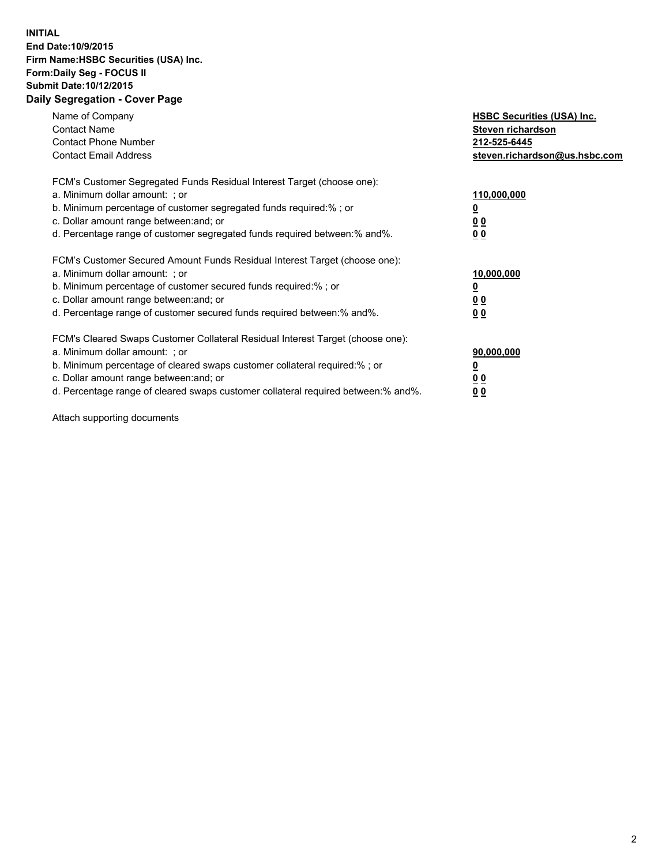## **INITIAL End Date:10/9/2015 Firm Name:HSBC Securities (USA) Inc. Form:Daily Seg - FOCUS II Submit Date:10/12/2015 Daily Segregation - Cover Page**

| Name of Company<br><b>Contact Name</b><br><b>Contact Phone Number</b><br><b>Contact Email Address</b>                                                                                                                                                                                                                         | <b>HSBC Securities (USA) Inc.</b><br>Steven richardson<br>212-525-6445<br>steven.richardson@us.hsbc.com |
|-------------------------------------------------------------------------------------------------------------------------------------------------------------------------------------------------------------------------------------------------------------------------------------------------------------------------------|---------------------------------------------------------------------------------------------------------|
| FCM's Customer Segregated Funds Residual Interest Target (choose one):<br>a. Minimum dollar amount: ; or<br>b. Minimum percentage of customer segregated funds required: % ; or<br>c. Dollar amount range between: and; or<br>d. Percentage range of customer segregated funds required between:% and%.                       | 110,000,000<br><u>0</u><br>0 <sub>0</sub><br>0 <sub>0</sub>                                             |
| FCM's Customer Secured Amount Funds Residual Interest Target (choose one):<br>a. Minimum dollar amount: ; or<br>b. Minimum percentage of customer secured funds required:%; or<br>c. Dollar amount range between: and; or<br>d. Percentage range of customer secured funds required between:% and%.                           | 10,000,000<br><u>0</u><br>0 <sub>0</sub><br>0 <sub>0</sub>                                              |
| FCM's Cleared Swaps Customer Collateral Residual Interest Target (choose one):<br>a. Minimum dollar amount: ; or<br>b. Minimum percentage of cleared swaps customer collateral required:%; or<br>c. Dollar amount range between: and; or<br>d. Percentage range of cleared swaps customer collateral required between:% and%. | 90,000,000<br><u>0</u><br>0 <sub>0</sub><br>0 <sub>0</sub>                                              |

Attach supporting documents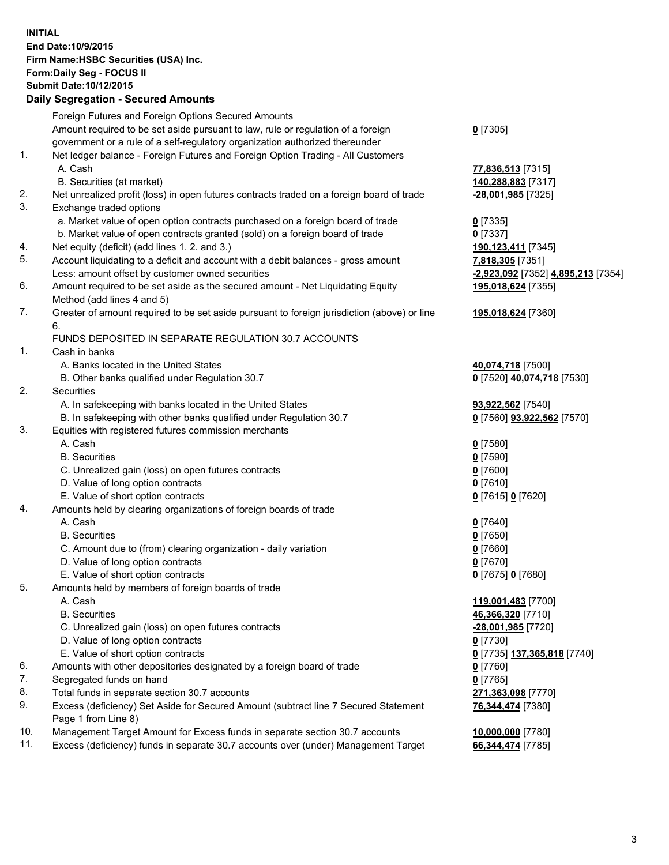**INITIAL End Date:10/9/2015 Firm Name:HSBC Securities (USA) Inc. Form:Daily Seg - FOCUS II Submit Date:10/12/2015**

## **Daily Segregation - Secured Amounts**

|     | Foreign Futures and Foreign Options Secured Amounts                                                        |                                    |
|-----|------------------------------------------------------------------------------------------------------------|------------------------------------|
|     | Amount required to be set aside pursuant to law, rule or regulation of a foreign                           | $0$ [7305]                         |
|     | government or a rule of a self-regulatory organization authorized thereunder                               |                                    |
| 1.  | Net ledger balance - Foreign Futures and Foreign Option Trading - All Customers                            |                                    |
|     | A. Cash                                                                                                    | 77,836,513 [7315]                  |
|     | B. Securities (at market)                                                                                  | 140,288,883 [7317]                 |
| 2.  | Net unrealized profit (loss) in open futures contracts traded on a foreign board of trade                  | -28,001,985 [7325]                 |
| 3.  | Exchange traded options                                                                                    |                                    |
|     | a. Market value of open option contracts purchased on a foreign board of trade                             | $0$ [7335]                         |
|     | b. Market value of open contracts granted (sold) on a foreign board of trade                               | $0$ [7337]                         |
| 4.  | Net equity (deficit) (add lines 1. 2. and 3.)                                                              | 190,123,411 [7345]                 |
| 5.  | Account liquidating to a deficit and account with a debit balances - gross amount                          | 7,818,305 [7351]                   |
|     | Less: amount offset by customer owned securities                                                           | -2,923,092 [7352] 4,895,213 [7354] |
| 6.  | Amount required to be set aside as the secured amount - Net Liquidating Equity                             | 195,018,624 [7355]                 |
|     | Method (add lines 4 and 5)                                                                                 |                                    |
| 7.  | Greater of amount required to be set aside pursuant to foreign jurisdiction (above) or line                | 195,018,624 [7360]                 |
|     | 6.                                                                                                         |                                    |
|     | FUNDS DEPOSITED IN SEPARATE REGULATION 30.7 ACCOUNTS                                                       |                                    |
| 1.  | Cash in banks                                                                                              |                                    |
|     | A. Banks located in the United States                                                                      | 40,074,718 [7500]                  |
|     | B. Other banks qualified under Regulation 30.7                                                             | 0 [7520] 40,074,718 [7530]         |
| 2.  | Securities                                                                                                 |                                    |
|     | A. In safekeeping with banks located in the United States                                                  | 93,922,562 [7540]                  |
|     | B. In safekeeping with other banks qualified under Regulation 30.7                                         | 0 [7560] 93,922,562 [7570]         |
| 3.  | Equities with registered futures commission merchants                                                      |                                    |
|     | A. Cash                                                                                                    | $0$ [7580]                         |
|     | <b>B.</b> Securities                                                                                       | $0$ [7590]                         |
|     | C. Unrealized gain (loss) on open futures contracts                                                        | $0$ [7600]                         |
|     | D. Value of long option contracts                                                                          | $0$ [7610]                         |
|     | E. Value of short option contracts                                                                         | 0 [7615] 0 [7620]                  |
| 4.  | Amounts held by clearing organizations of foreign boards of trade                                          |                                    |
|     | A. Cash                                                                                                    | $0$ [7640]                         |
|     | <b>B.</b> Securities                                                                                       | $0$ [7650]                         |
|     | C. Amount due to (from) clearing organization - daily variation                                            | $0$ [7660]                         |
|     | D. Value of long option contracts                                                                          | $0$ [7670]                         |
|     | E. Value of short option contracts                                                                         | 0 [7675] 0 [7680]                  |
| 5.  | Amounts held by members of foreign boards of trade                                                         |                                    |
|     | A. Cash                                                                                                    | 119,001,483 [7700]                 |
|     | <b>B.</b> Securities                                                                                       | 46,366,320 [7710]                  |
|     | C. Unrealized gain (loss) on open futures contracts                                                        | -28,001,985 [7720]                 |
|     | D. Value of long option contracts                                                                          | $0$ [7730]                         |
|     | E. Value of short option contracts                                                                         | 0 [7735] 137,365,818 [7740]        |
| 6.  | Amounts with other depositories designated by a foreign board of trade                                     | $0$ [7760]                         |
| 7.  | Segregated funds on hand                                                                                   | $0$ [7765]                         |
| 8.  | Total funds in separate section 30.7 accounts                                                              | 271,363,098 [7770]                 |
| 9.  | Excess (deficiency) Set Aside for Secured Amount (subtract line 7 Secured Statement<br>Page 1 from Line 8) | 76,344,474 [7380]                  |
| 10. | Management Target Amount for Excess funds in separate section 30.7 accounts                                | 10,000,000 [7780]                  |
| 11. | Excess (deficiency) funds in separate 30.7 accounts over (under) Management Target                         | 66,344,474 [7785]                  |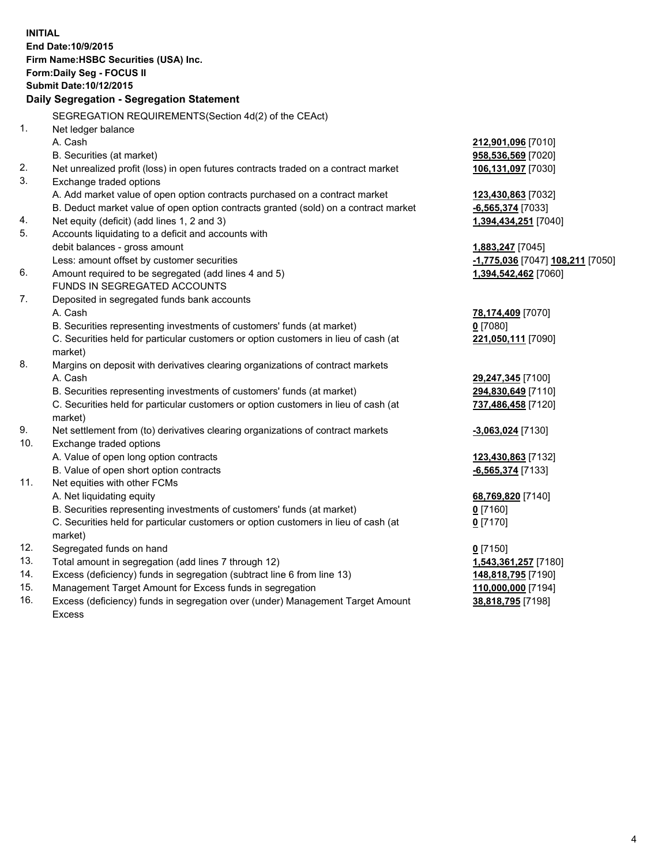**INITIAL End Date:10/9/2015 Firm Name:HSBC Securities (USA) Inc. Form:Daily Seg - FOCUS II Submit Date:10/12/2015 Daily Segregation - Segregation Statement** SEGREGATION REQUIREMENTS(Section 4d(2) of the CEAct) 1. Net ledger balance A. Cash **212,901,096** [7010] B. Securities (at market) **958,536,569** [7020] 2. Net unrealized profit (loss) in open futures contracts traded on a contract market **106,131,097** [7030] 3. Exchange traded options A. Add market value of open option contracts purchased on a contract market **123,430,863** [7032] B. Deduct market value of open option contracts granted (sold) on a contract market **-6,565,374** [7033] 4. Net equity (deficit) (add lines 1, 2 and 3) **1,394,434,251** [7040] 5. Accounts liquidating to a deficit and accounts with debit balances - gross amount **1,883,247** [7045] Less: amount offset by customer securities **-1,775,036** [7047] **108,211** [7050] 6. Amount required to be segregated (add lines 4 and 5) **1,394,542,462** [7060] FUNDS IN SEGREGATED ACCOUNTS 7. Deposited in segregated funds bank accounts A. Cash **78,174,409** [7070] B. Securities representing investments of customers' funds (at market) **0** [7080] C. Securities held for particular customers or option customers in lieu of cash (at market) **221,050,111** [7090] 8. Margins on deposit with derivatives clearing organizations of contract markets A. Cash **29,247,345** [7100] B. Securities representing investments of customers' funds (at market) **294,830,649** [7110] C. Securities held for particular customers or option customers in lieu of cash (at market) **737,486,458** [7120] 9. Net settlement from (to) derivatives clearing organizations of contract markets **-3,063,024** [7130] 10. Exchange traded options A. Value of open long option contracts **123,430,863** [7132] B. Value of open short option contracts **-6,565,374** [7133] 11. Net equities with other FCMs A. Net liquidating equity **68,769,820** [7140] B. Securities representing investments of customers' funds (at market) **0** [7160] C. Securities held for particular customers or option customers in lieu of cash (at market) **0** [7170] 12. Segregated funds on hand **0** [7150] 13. Total amount in segregation (add lines 7 through 12) **1,543,361,257** [7180] 14. Excess (deficiency) funds in segregation (subtract line 6 from line 13) **148,818,795** [7190] 15. Management Target Amount for Excess funds in segregation **110,000,000** [7194]

16. Excess (deficiency) funds in segregation over (under) Management Target Amount Excess

**38,818,795** [7198]